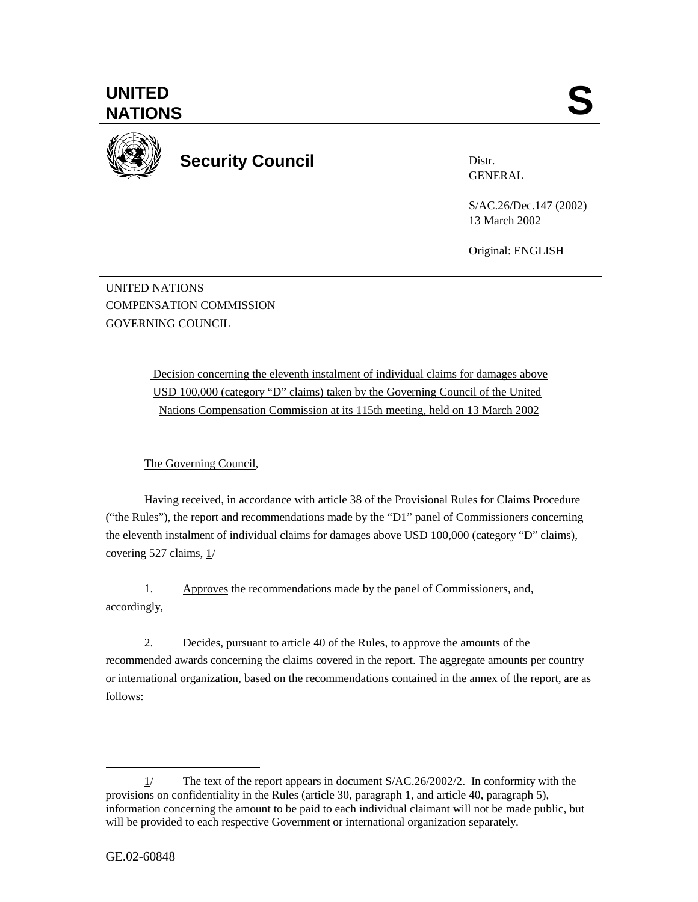

**Security Council** 

Distr. GENERAL

S/AC.26/Dec.147 (2002) 13 March 2002

Original: ENGLISH

UNITED NATIONS COMPENSATION COMMISSION GOVERNING COUNCIL

> Decision concerning the eleventh instalment of individual claims for damages above USD 100,000 (category "D" claims) taken by the Governing Council of the United Nations Compensation Commission at its 115th meeting, held on 13 March 2002

The Governing Council,

Having received, in accordance with article 38 of the Provisional Rules for Claims Procedure ("the Rules"), the report and recommendations made by the "D1" panel of Commissioners concerning the eleventh instalment of individual claims for damages above USD 100,000 (category "D" claims), covering 527 claims, 1/

1. Approves the recommendations made by the panel of Commissioners, and, accordingly,

2. Decides, pursuant to article 40 of the Rules, to approve the amounts of the recommended awards concerning the claims covered in the report. The aggregate amounts per country or international organization, based on the recommendations contained in the annex of the report, are as follows:

 $\overline{a}$ 

<sup>1/</sup> The text of the report appears in document S/AC.26/2002/2. In conformity with the provisions on confidentiality in the Rules (article 30, paragraph 1, and article 40, paragraph 5), information concerning the amount to be paid to each individual claimant will not be made public, but will be provided to each respective Government or international organization separately.